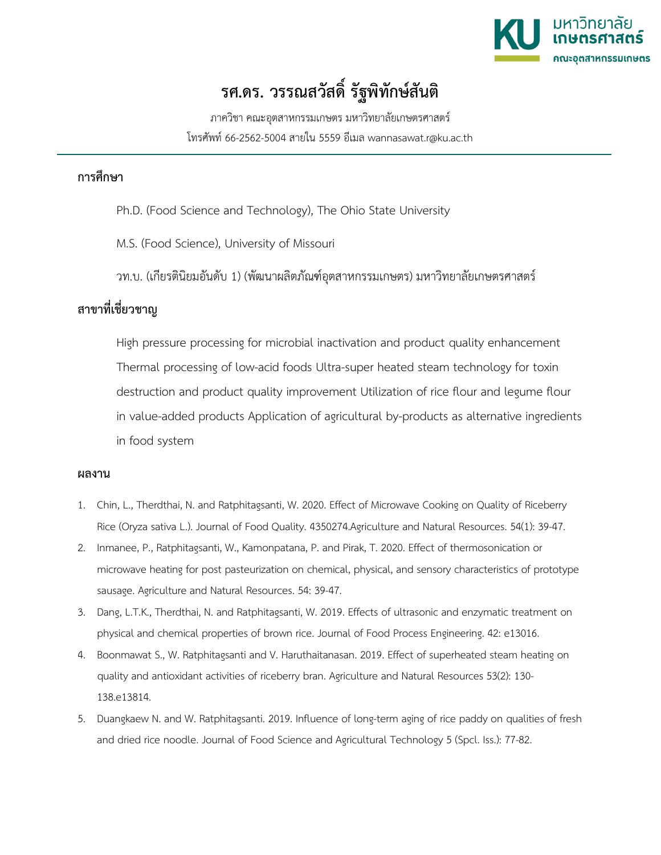

## **รศ.ดร. วรรณสวัสดิ์ รัฐพิทักษสันติ**

ภาควิชา คณะอุตสาหกรรมเกษตร มหาวิทยาลัยเกษตรศาสตร โทรศัพท 66-2562-5004 สายใน 5559 อีเมล wannasawat.r@ku.ac.th

## **การศึกษา**

- Ph.D. (Food Science and Technology), The Ohio State University
- M.S. (Food Science), University of Missouri
- วท.บ. (เกียรตินิยมอันดับ 1) (พัฒนาผลิตภัณฑอุตสาหกรรมเกษตร) มหาวิทยาลัยเกษตรศาสตร

## **สาขาที่เชี่ยวชาญ**

High pressure processing for microbial inactivation and product quality enhancement Thermal processing of low-acid foods Ultra-super heated steam technology for toxin destruction and product quality improvement Utilization of rice flour and legume flour in value-added products Application of agricultural by-products as alternative ingredients in food system

## **ผลงาน**

- 1. Chin, L., Therdthai, N. and Ratphitagsanti, W. 2020. Effect of Microwave Cooking on Quality of Riceberry Rice (Oryza sativa L.). Journal of Food Quality. 4350274.Agriculture and Natural Resources. 54(1): 39-47.
- 2. Inmanee, P., Ratphitagsanti, W., Kamonpatana, P. and Pirak, T. 2020. Effect of thermosonication or microwave heating for post pasteurization on chemical, physical, and sensory characteristics of prototype sausage. Agriculture and Natural Resources. 54: 39-47.
- 3. Dang, L.T.K., Therdthai, N. and Ratphitagsanti, W. 2019. Effects of ultrasonic and enzymatic treatment on physical and chemical properties of brown rice. Journal of Food Process Engineering. 42: e13016.
- 4. Boonmawat S., W. Ratphitagsanti and V. Haruthaitanasan. 2019. Effect of superheated steam heating on quality and antioxidant activities of riceberry bran. Agriculture and Natural Resources 53(2): 130- 138.e13814.
- 5. Duangkaew N. and W. Ratphitagsanti. 2019. Influence of long-term aging of rice paddy on qualities of fresh and dried rice noodle. Journal of Food Science and Agricultural Technology 5 (Spcl. Iss.): 77-82.